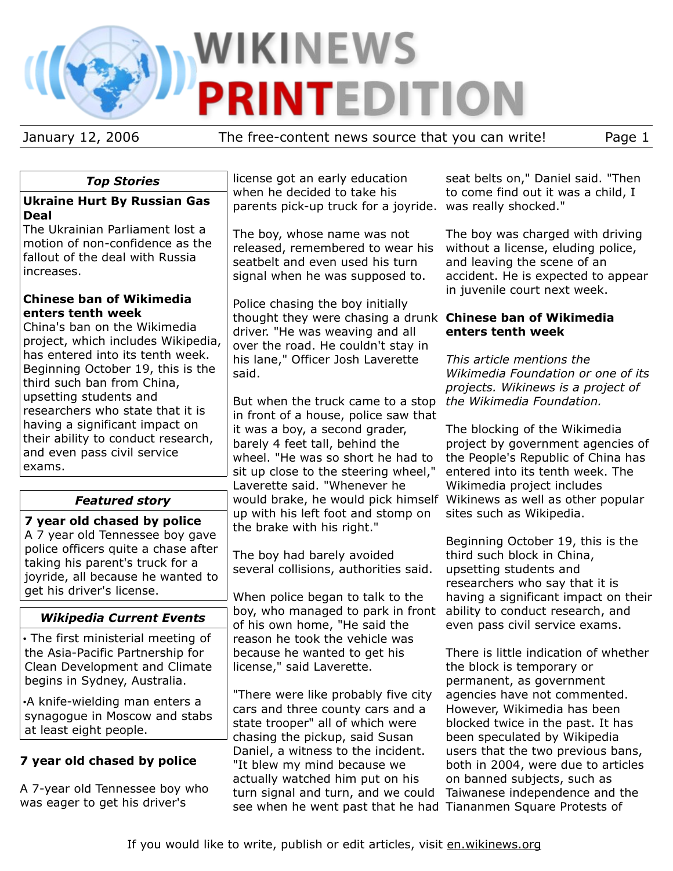# WIKINEWS **PRINTEDITION**

January 12, 2006 The free-content news source that you can write! Page 1

# *Top Stories*

#### **Ukraine Hurt By Russian Gas Deal**

The Ukrainian Parliament lost a motion of non-confidence as the fallout of the deal with Russia increases.

#### **Chinese ban of Wikimedia enters tenth week**

China's ban on the Wikimedia project, which includes Wikipedia, has entered into its tenth week. Beginning October 19, this is the third such ban from China, upsetting students and researchers who state that it is having a significant impact on their ability to conduct research, and even pass civil service exams.

# *Featured story*

**7 year old chased by police** A 7 year old Tennessee boy gave police officers quite a chase after taking his parent's truck for a joyride, all because he wanted to get his driver's license.

# *Wikipedia Current Events*

• The first ministerial meeting of the Asia-Pacific Partnership for Clean Development and Climate begins in Sydney, Australia.

•A knife-wielding man enters a synagogue in Moscow and stabs at least eight people.

# **7 year old chased by police**

A 7-year old Tennessee boy who was eager to get his driver's

license got an early education when he decided to take his parents pick-up truck for a joyride. was really shocked."

The boy, whose name was not released, remembered to wear his seatbelt and even used his turn signal when he was supposed to.

Police chasing the boy initially thought they were chasing a drunk **Chinese ban of Wikimedia** driver. "He was weaving and all over the road. He couldn't stay in his lane," Officer Josh Laverette said.

But when the truck came to a stop *the Wikimedia Foundation.* in front of a house, police saw that it was a boy, a second grader, barely 4 feet tall, behind the wheel. "He was so short he had to sit up close to the steering wheel," Laverette said. "Whenever he would brake, he would pick himself Wikinews as well as other popular up with his left foot and stomp on the brake with his right."

The boy had barely avoided several collisions, authorities said.

When police began to talk to the boy, who managed to park in front of his own home, "He said the reason he took the vehicle was because he wanted to get his license," said Laverette.

"There were like probably five city cars and three county cars and a state trooper" all of which were chasing the pickup, said Susan Daniel, a witness to the incident. "It blew my mind because we actually watched him put on his turn signal and turn, and we could see when he went past that he had Tiananmen Square Protests of

seat belts on," Daniel said. "Then to come find out it was a child, I

The boy was charged with driving without a license, eluding police, and leaving the scene of an accident. He is expected to appear in juvenile court next week.

# **enters tenth week**

*This article mentions the Wikimedia Foundation or one of its projects. Wikinews is a project of*

The blocking of the Wikimedia project by government agencies of the People's Republic of China has entered into its tenth week. The Wikimedia project includes sites such as Wikipedia.

Beginning October 19, this is the third such block in China, upsetting students and researchers who say that it is having a significant impact on their ability to conduct research, and even pass civil service exams.

There is little indication of whether the block is temporary or permanent, as government agencies have not commented. However, Wikimedia has been blocked twice in the past. It has been speculated by Wikipedia users that the two previous bans, both in 2004, were due to articles on banned subjects, such as Taiwanese independence and the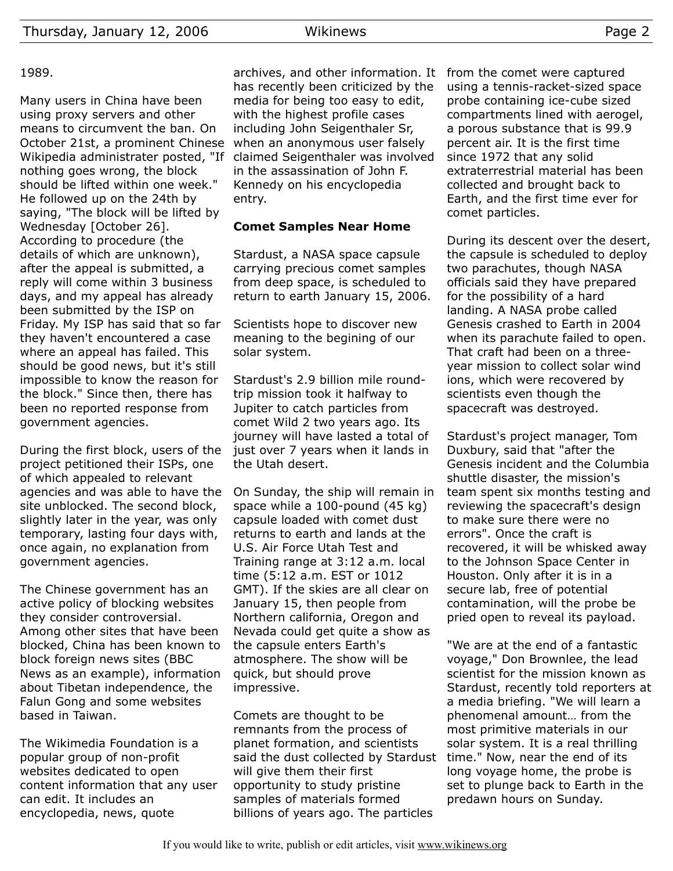Many users in China have been using proxy servers and other means to circumvent the ban. On October 21st, a prominent Chinese Wikipedia administrater posted, "If nothing goes wrong, the block should be lifted within one week." He followed up on the 24th by saying, "The block will be lifted by Wednesday [October 26]. According to procedure (the details of which are unknown), after the appeal is submitted, a reply will come within 3 business days, and my appeal has already been submitted by the ISP on Friday. My ISP has said that so far they haven't encountered a case where an appeal has failed. This should be good news, but it's still impossible to know the reason for the block." Since then, there has been no reported response from government agencies.

During the first block, users of the project petitioned their ISPs, one of which appealed to relevant agencies and was able to have the site unblocked. The second block, slightly later in the year, was only temporary, lasting four days with, once again, no explanation from government agencies.

The Chinese government has an active policy of blocking websites they consider controversial. Among other sites that have been blocked, China has been known to block foreign news sites (BBC News as an example), information about Tibetan independence, the Falun Gong and some websites based in Taiwan.

The Wikimedia Foundation is a popular group of non-profit websites dedicated to open content information that any user can edit. It includes an encyclopedia, news, quote

archives, and other information. It from the comet were captured has recently been criticized by the media for being too easy to edit, with the highest profile cases including John Seigenthaler Sr, when an anonymous user falsely claimed Seigenthaler was involved in the assassination of John F. Kennedy on his encyclopedia entry.

#### **Comet Samples Near Home**

Stardust, a NASA space capsule carrying precious comet samples from deep space, is scheduled to return to earth January 15, 2006.

Scientists hope to discover new meaning to the begining of our solar system.

Stardust's 2.9 billion mile roundtrip mission took it halfway to Jupiter to catch particles from comet Wild 2 two years ago. Its journey will have lasted a total of just over 7 years when it lands in the Utah desert.

On Sunday, the ship will remain in space while a 100-pound (45 kg) capsule loaded with comet dust returns to earth and lands at the U.S. Air Force Utah Test and Training range at 3:12 a.m. local time (5:12 a.m. EST or 1012 GMT). If the skies are all clear on January 15, then people from Northern california, Oregon and Nevada could get quite a show as the capsule enters Earth's atmosphere. The show will be quick, but should prove impressive.

Comets are thought to be remnants from the process of planet formation, and scientists said the dust collected by Stardust will give them their first opportunity to study pristine samples of materials formed billions of years ago. The particles

using a tennis-racket-sized space probe containing ice-cube sized compartments lined with aerogel, a porous substance that is 99.9 percent air. It is the first time since 1972 that any solid extraterrestrial material has been collected and brought back to Earth, and the first time ever for comet particles.

During its descent over the desert, the capsule is scheduled to deploy two parachutes, though NASA officials said they have prepared for the possibility of a hard landing. A NASA probe called Genesis crashed to Earth in 2004 when its parachute failed to open. That craft had been on a threeyear mission to collect solar wind ions, which were recovered by scientists even though the spacecraft was destroyed.

Stardust's project manager, Tom Duxbury, said that "after the Genesis incident and the Columbia shuttle disaster, the mission's team spent six months testing and reviewing the spacecraft's design to make sure there were no errors". Once the craft is recovered, it will be whisked away to the Johnson Space Center in Houston. Only after it is in a secure lab, free of potential contamination, will the probe be pried open to reveal its payload.

"We are at the end of a fantastic voyage," Don Brownlee, the lead scientist for the mission known as Stardust, recently told reporters at a media briefing. "We will learn a phenomenal amount… from the most primitive materials in our solar system. It is a real thrilling time." Now, near the end of its long voyage home, the probe is set to plunge back to Earth in the predawn hours on Sunday.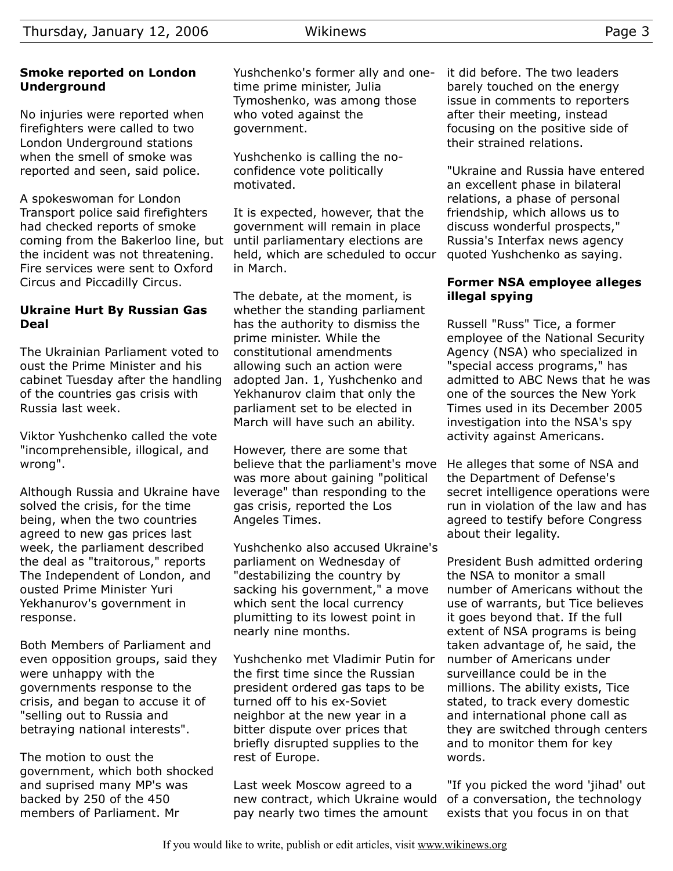### **Smoke reported on London Underground**

No injuries were reported when firefighters were called to two London Underground stations when the smell of smoke was reported and seen, said police.

A spokeswoman for London Transport police said firefighters had checked reports of smoke coming from the Bakerloo line, but the incident was not threatening. Fire services were sent to Oxford Circus and Piccadilly Circus.

#### **Ukraine Hurt By Russian Gas Deal**

The Ukrainian Parliament voted to oust the Prime Minister and his cabinet Tuesday after the handling of the countries gas crisis with Russia last week.

Viktor Yushchenko called the vote "incomprehensible, illogical, and wrong".

Although Russia and Ukraine have solved the crisis, for the time being, when the two countries agreed to new gas prices last week, the parliament described the deal as "traitorous," reports The Independent of London, and ousted Prime Minister Yuri Yekhanurov's government in response.

Both Members of Parliament and even opposition groups, said they were unhappy with the governments response to the crisis, and began to accuse it of "selling out to Russia and betraying national interests".

The motion to oust the government, which both shocked and suprised many MP's was backed by 250 of the 450 members of Parliament. Mr

Yushchenko's former ally and onetime prime minister, Julia Tymoshenko, was among those who voted against the government.

Yushchenko is calling the noconfidence vote politically motivated.

It is expected, however, that the government will remain in place until parliamentary elections are held, which are scheduled to occur in March.

The debate, at the moment, is whether the standing parliament has the authority to dismiss the prime minister. While the constitutional amendments allowing such an action were adopted Jan. 1, Yushchenko and Yekhanurov claim that only the parliament set to be elected in March will have such an ability.

However, there are some that believe that the parliament's move was more about gaining "political leverage" than responding to the gas crisis, reported the Los Angeles Times.

Yushchenko also accused Ukraine's parliament on Wednesday of "destabilizing the country by sacking his government," a move which sent the local currency plumitting to its lowest point in nearly nine months.

Yushchenko met Vladimir Putin for the first time since the Russian president ordered gas taps to be turned off to his ex-Soviet neighbor at the new year in a bitter dispute over prices that briefly disrupted supplies to the rest of Europe.

Last week Moscow agreed to a new contract, which Ukraine would pay nearly two times the amount

it did before. The two leaders barely touched on the energy issue in comments to reporters after their meeting, instead focusing on the positive side of their strained relations.

"Ukraine and Russia have entered an excellent phase in bilateral relations, a phase of personal friendship, which allows us to discuss wonderful prospects," Russia's Interfax news agency quoted Yushchenko as saying.

#### **Former NSA employee alleges illegal spying**

Russell "Russ" Tice, a former employee of the National Security Agency (NSA) who specialized in "special access programs," has admitted to ABC News that he was one of the sources the New York Times used in its December 2005 investigation into the NSA's spy activity against Americans.

He alleges that some of NSA and the Department of Defense's secret intelligence operations were run in violation of the law and has agreed to testify before Congress about their legality.

President Bush admitted ordering the NSA to monitor a small number of Americans without the use of warrants, but Tice believes it goes beyond that. If the full extent of NSA programs is being taken advantage of, he said, the number of Americans under surveillance could be in the millions. The ability exists, Tice stated, to track every domestic and international phone call as they are switched through centers and to monitor them for key words.

"If you picked the word 'jihad' out of a conversation, the technology exists that you focus in on that